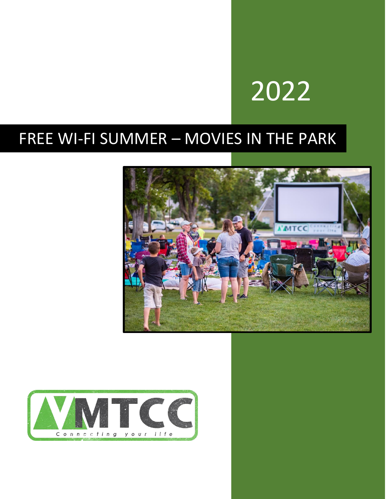# 2022

## FREE WI-FI SUMMER – MOVIES IN THE PARK



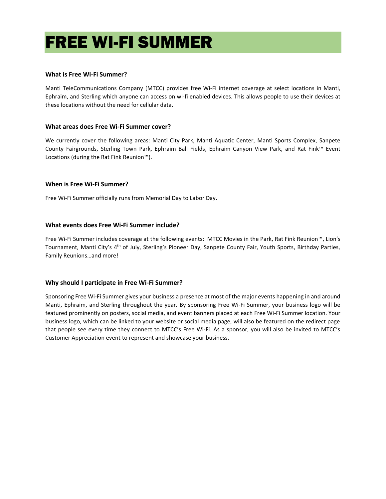## FREE WI-FI SUMMER

#### **What is Free Wi-Fi Summer?**

Manti TeleCommunications Company (MTCC) provides free Wi-Fi internet coverage at select locations in Manti, Ephraim, and Sterling which anyone can access on wi-fi enabled devices. This allows people to use their devices at these locations without the need for cellular data.

#### **What areas does Free Wi-Fi Summer cover?**

We currently cover the following areas: Manti City Park, Manti Aquatic Center, Manti Sports Complex, Sanpete County Fairgrounds, Sterling Town Park, Ephraim Ball Fields, Ephraim Canyon View Park, and Rat Fink™ Event Locations (during the Rat Fink Reunion™).

#### **When is Free Wi-Fi Summer?**

Free Wi-Fi Summer officially runs from Memorial Day to Labor Day.

#### **What events does Free Wi-Fi Summer include?**

Free Wi-Fi Summer includes coverage at the following events: MTCC Movies in the Park, Rat Fink Reunion™, Lion's Tournament, Manti City's 4<sup>th</sup> of July, Sterling's Pioneer Day, Sanpete County Fair, Youth Sports, Birthday Parties, Family Reunions…and more!

#### **Why should I participate in Free Wi-Fi Summer?**

Sponsoring Free Wi-Fi Summer gives your business a presence at most of the major events happening in and around Manti, Ephraim, and Sterling throughout the year. By sponsoring Free Wi-Fi Summer, your business logo will be featured prominently on posters, social media, and event banners placed at each Free Wi-Fi Summer location. Your business logo, which can be linked to your website or social media page, will also be featured on the redirect page that people see every time they connect to MTCC's Free Wi-Fi. As a sponsor, you will also be invited to MTCC's Customer Appreciation event to represent and showcase your business.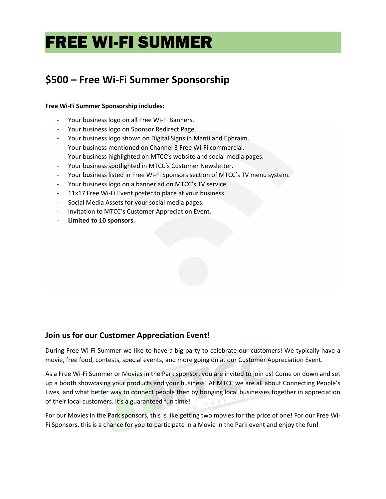## FREE WI-FI SUMMER

### **\$500 – Free Wi-Fi Summer Sponsorship**

#### **Free Wi-Fi Summer Sponsorship includes:**

- Your business logo on all Free Wi-Fi Banners.
- Your business logo on Sponsor Redirect Page.
- Your business logo shown on Digital Signs in Manti and Ephraim.
- Your business mentioned on Channel 3 Free Wi-Fi commercial.
- Your business highlighted on MTCC's website and social media pages.
- Your business spotlighted in MTCC's Customer Newsletter.
- Your business listed in Free Wi-Fi Sponsors section of MTCC's TV menu system.
- Your business logo on a banner ad on MTCC's TV service.
- 11x17 Free Wi-Fi Event poster to place at your business.
- Social Media Assets for your social media pages.
- Invitation to MTCC's Customer Appreciation Event.
- **Limited to 10 sponsors.**

#### **Join us for our Customer Appreciation Event!**

During Free Wi-Fi Summer we like to have a big party to celebrate our customers! We typically have a movie, free food, contests, special events, and more going on at our Customer Appreciation Event.

As a Free Wi-Fi Summer or Movies in the Park sponsor, you are invited to join us! Come on down and set up a booth showcasing your products and your business! At MTCC we are all about Connecting People's Lives, and what better way to connect people then by bringing local businesses together in appreciation of their local customers. It's a guaranteed fun time!

For our Movies in the Park sponsors, this is like getting two movies for the price of one! For our Free Wi-Fi Sponsors, this is a chance for you to participate in a Movie in the Park event and enjoy the fun!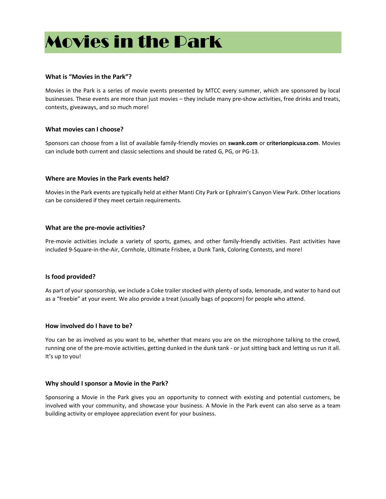### Movies in the Park

#### **What is "Movies in the Park"?**

Movies in the Park is a series of movie events presented by MTCC every summer, which are sponsored by local businesses. These events are more than just movies – they include many pre-show activities, free drinks and treats, contests, giveaways, and so much more!

#### **What movies can I choose?**

Sponsors can choose from a list of available family-friendly movies on **swank.com** or **criterionpicusa.com**. Movies can include both current and classic selections and should be rated G, PG, or PG-13.

#### **Where are Movies in the Park events held?**

Movies in the Park events are typically held at either Manti City Park or Ephraim's Canyon View Park. Other locations can be considered if they meet certain requirements.

#### **What are the pre-movie activities?**

Pre-movie activities include a variety of sports, games, and other family-friendly activities. Past activities have included 9-Square-in-the-Air, Cornhole, Ultimate Frisbee, a Dunk Tank, Coloring Contests, and more!

#### **Is food provided?**

As part of your sponsorship, we include a Coke trailer stocked with plenty of soda, lemonade, and water to hand out as a "freebie" at your event. We also provide a treat (usually bags of popcorn) for people who attend.

#### **How involved do I have to be?**

You can be as involved as you want to be, whether that means you are on the microphone talking to the crowd, running one of the pre-movie activities, getting dunked in the dunk tank - or just sitting back and letting us run it all. It's up to you!

#### **Why should I sponsor a Movie in the Park?**

Sponsoring a Movie in the Park gives you an opportunity to connect with existing and potential customers, be involved with your community, and showcase your business. A Movie in the Park event can also serve as a team building activity or employee appreciation event for your business.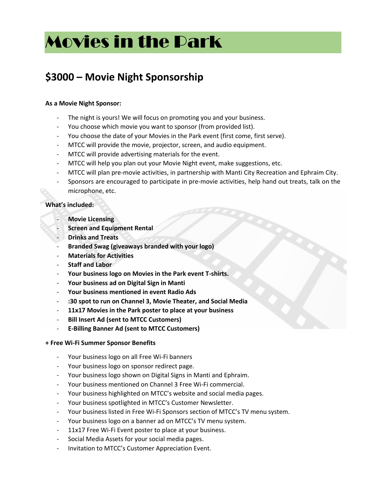## Movies in the Park

### **\$3000 – Movie Night Sponsorship**

#### **As a Movie Night Sponsor:**

- The night is yours! We will focus on promoting you and your business.
- You choose which movie you want to sponsor (from provided list).
- You choose the date of your Movies in the Park event (first come, first serve).
- MTCC will provide the movie, projector, screen, and audio equipment.
- MTCC will provide advertising materials for the event.
- MTCC will help you plan out your Movie Night event, make suggestions, etc.
- MTCC will plan pre-movie activities, in partnership with Manti City Recreation and Ephraim City.
- Sponsors are encouraged to participate in pre-movie activities, help hand out treats, talk on the microphone, etc.

#### **What's included:**

- **Movie Licensing**
- **Screen and Equipment Rental**
- **Drinks and Treats**
- **Branded Swag (giveaways branded with your logo)**
- **Materials for Activities**
- **Staff and Labor**
- **Your business logo on Movies in the Park event T-shirts.**
- **Your business ad on Digital Sign in Manti**
- **Your business mentioned in event Radio Ads**
- **:30 spot to run on Channel 3, Movie Theater, and Social Media**
- **11x17 Movies in the Park poster to place at your business**
- **Bill Insert Ad (sent to MTCC Customers)**
- **E-Billing Banner Ad (sent to MTCC Customers)**
- **+ Free Wi-Fi Summer Sponsor Benefits**
	- Your business logo on all Free Wi-Fi banners
	- Your business logo on sponsor redirect page.
	- Your business logo shown on Digital Signs in Manti and Ephraim.
	- Your business mentioned on Channel 3 Free Wi-Fi commercial.
	- Your business highlighted on MTCC's website and social media pages.
	- Your business spotlighted in MTCC's Customer Newsletter.
	- Your business listed in Free Wi-Fi Sponsors section of MTCC's TV menu system.
	- Your business logo on a banner ad on MTCC's TV menu system.
	- 11x17 Free Wi-Fi Event poster to place at your business.
	- Social Media Assets for your social media pages.
	- Invitation to MTCC's Customer Appreciation Event.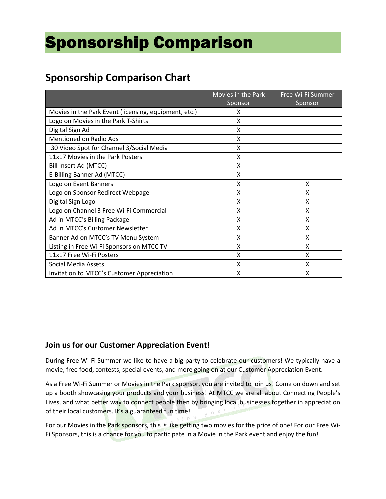## Sponsorship Comparison

### **Sponsorship Comparison Chart**

|                                                       | Movies in the Park | Free Wi-Fi Summer |
|-------------------------------------------------------|--------------------|-------------------|
|                                                       | Sponsor            | Sponsor           |
| Movies in the Park Event (licensing, equipment, etc.) | X                  |                   |
| Logo on Movies in the Park T-Shirts                   | X                  |                   |
| Digital Sign Ad                                       | X                  |                   |
| <b>Mentioned on Radio Ads</b>                         | X                  |                   |
| :30 Video Spot for Channel 3/Social Media             | X                  |                   |
| 11x17 Movies in the Park Posters                      | X                  |                   |
| Bill Insert Ad (MTCC)                                 | X                  |                   |
| E-Billing Banner Ad (MTCC)                            | X                  |                   |
| Logo on Event Banners                                 | X                  | Χ                 |
| Logo on Sponsor Redirect Webpage                      | X                  | Χ                 |
| Digital Sign Logo                                     | X                  | X                 |
| Logo on Channel 3 Free Wi-Fi Commercial               | X                  | Χ                 |
| Ad in MTCC's Billing Package                          | X                  | X                 |
| Ad in MTCC's Customer Newsletter                      | X                  | Χ                 |
| Banner Ad on MTCC's TV Menu System                    | X                  | x                 |
| Listing in Free Wi-Fi Sponsors on MTCC TV             | X                  | X                 |
| 11x17 Free Wi-Fi Posters                              | X                  | X                 |
| <b>Social Media Assets</b>                            | X                  | Χ                 |
| Invitation to MTCC's Customer Appreciation            | X                  | Χ                 |

#### **Join us for our Customer Appreciation Event!**

During Free Wi-Fi Summer we like to have a big party to celebrate our customers! We typically have a movie, free food, contests, special events, and more going on at our Customer Appreciation Event.

As a Free Wi-Fi Summer or Movies in the Park sponsor, you are invited to join us! Come on down and set up a booth showcasing your products and your business! At MTCC we are all about Connecting People's Lives, and what better way to connect people then by bringing local businesses together in appreciation of their local customers. It's a guaranteed fun time!  $0<sup>U</sup>$ 

For our Movies in the Park sponsors, this is like getting two movies for the price of one! For our Free Wi-Fi Sponsors, this is a chance for you to participate in a Movie in the Park event and enjoy the fun!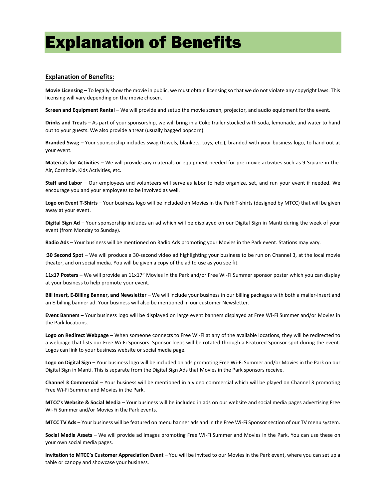### Explanation of Benefits

#### **Explanation of Benefits:**

**Movie Licensing –** To legally show the movie in public, we must obtain licensing so that we do not violate any copyright laws. This licensing will vary depending on the movie chosen.

**Screen and Equipment Rental** – We will provide and setup the movie screen, projector, and audio equipment for the event.

**Drinks and Treats** – As part of your sponsorship, we will bring in a Coke trailer stocked with soda, lemonade, and water to hand out to your guests. We also provide a treat (usually bagged popcorn).

**Branded Swag** – Your sponsorship includes swag (towels, blankets, toys, etc.), branded with your business logo, to hand out at your event.

**Materials for Activities** – We will provide any materials or equipment needed for pre-movie activities such as 9-Square-in-the-Air, Cornhole, Kids Activities, etc.

**Staff and Labor** – Our employees and volunteers will serve as labor to help organize, set, and run your event if needed. We encourage you and your employees to be involved as well.

**Logo on Event T-Shirts** – Your business logo will be included on Movies in the Park T-shirts (designed by MTCC) that will be given away at your event.

**Digital Sign Ad** – Your sponsorship includes an ad which will be displayed on our Digital Sign in Manti during the week of your event (from Monday to Sunday).

**Radio Ads** – Your business will be mentioned on Radio Ads promoting your Movies in the Park event. Stations may vary.

:**30 Second Spot** – We will produce a 30-second video ad highlighting your business to be run on Channel 3, at the local movie theater, and on social media. You will be given a copy of the ad to use as you see fit.

**11x17 Posters** – We will provide an 11x17" Movies in the Park and/or Free Wi-Fi Summer sponsor poster which you can display at your business to help promote your event.

**Bill Insert, E-Billing Banner, and Newsletter –** We will include your business in our billing packages with both a mailer-insert and an E-billing banner ad. Your business will also be mentioned in our customer Newsletter.

**Event Banners –** Your business logo will be displayed on large event banners displayed at Free Wi-Fi Summer and/or Movies in the Park locations.

**Logo on Redirect Webpage** – When someone connects to Free Wi-Fi at any of the available locations, they will be redirected to a webpage that lists our Free Wi-Fi Sponsors. Sponsor logos will be rotated through a Featured Sponsor spot during the event. Logos can link to your business website or social media page.

**Logo on Digital Sign –** Your business logo will be included on ads promoting Free Wi-Fi Summer and/or Movies in the Park on our Digital Sign in Manti. This is separate from the Digital Sign Ads that Movies in the Park sponsors receive.

**Channel 3 Commercial** – Your business will be mentioned in a video commercial which will be played on Channel 3 promoting Free Wi-Fi Summer and Movies in the Park.

**MTCC's Website & Social Media** – Your business will be included in ads on our website and social media pages advertising Free Wi-Fi Summer and/or Movies in the Park events.

**MTCC TV Ads** – Your business will be featured on menu banner ads and in the Free Wi-Fi Sponsor section of our TV menu system.

**Social Media Assets** – We will provide ad images promoting Free Wi-Fi Summer and Movies in the Park. You can use these on your own social media pages.

**Invitation to MTCC's Customer Appreciation Event** – You will be invited to our Movies in the Park event, where you can set up a table or canopy and showcase your business.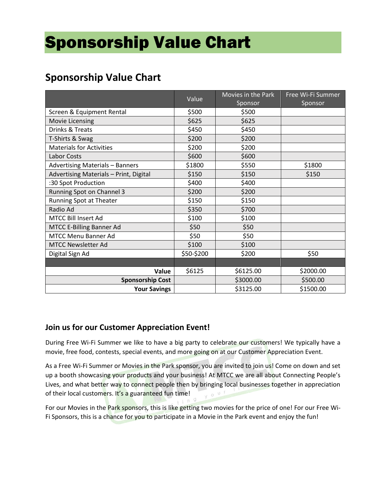## Sponsorship Value Chart

### **Sponsorship Value Chart**

|                                        | Value      | Movies in the Park<br>Sponsor | Free Wi-Fi Summer<br>Sponsor |
|----------------------------------------|------------|-------------------------------|------------------------------|
| Screen & Equipment Rental              | \$500      | \$500                         |                              |
| Movie Licensing                        | \$625      | \$625                         |                              |
| Drinks & Treats                        | \$450      | \$450                         |                              |
| T-Shirts & Swag                        | \$200      | \$200                         |                              |
| <b>Materials for Activities</b>        | \$200      | \$200                         |                              |
| Labor Costs                            | \$600      | \$600                         |                              |
| <b>Advertising Materials - Banners</b> | \$1800     | \$550                         | \$1800                       |
| Advertising Materials - Print, Digital | \$150      | \$150                         | \$150                        |
| :30 Spot Production                    | \$400      | \$400                         |                              |
| Running Spot on Channel 3              | \$200      | \$200                         |                              |
| Running Spot at Theater                | \$150      | \$150                         |                              |
| Radio Ad                               | \$350      | \$700                         |                              |
| <b>MTCC Bill Insert Ad</b>             | \$100      | \$100                         |                              |
| <b>MTCC E-Billing Banner Ad</b>        | \$50       | \$50                          |                              |
| <b>MTCC Menu Banner Ad</b>             | \$50       | \$50                          |                              |
| <b>MTCC Newsletter Ad</b>              | \$100      | \$100                         |                              |
| Digital Sign Ad                        | \$50-\$200 | \$200                         | \$50                         |
|                                        |            |                               |                              |
| Value                                  | \$6125     | \$6125.00                     | \$2000.00                    |
| <b>Sponsorship Cost</b>                |            | \$3000.00                     | \$500.00                     |
| <b>Your Savings</b>                    |            | \$3125.00                     | \$1500.00                    |

#### **Join us for our Customer Appreciation Event!**

During Free Wi-Fi Summer we like to have a big party to celebrate our customers! We typically have a movie, free food, contests, special events, and more going on at our Customer Appreciation Event.

As a Free Wi-Fi Summer or Movies in the Park sponsor, you are invited to join us! Come on down and set up a booth showcasing your products and your business! At MTCC we are all about Connecting People's Lives, and what better way to connect people then by bringing local businesses together in appreciation of their local customers. It's a guaranteed fun time!

For our Movies in the Park sponsors, this is like getting two movies for the price of one! For our Free Wi-Fi Sponsors, this is a chance for you to participate in a Movie in the Park event and enjoy the fun!